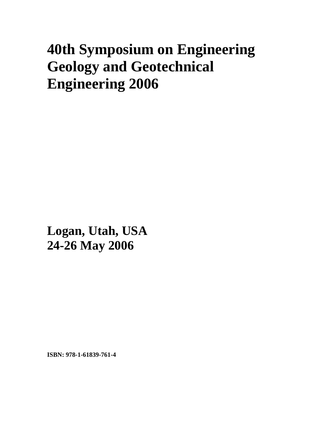# **40th Symposium on Engineering Geology and Geotechnical Engineering 2006**

**xxx Logan, Utah, USA 24-26 May 2006** 

**ISBN: 978-1-61839-761-4**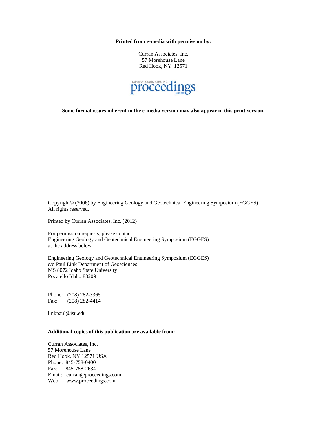**Printed from e-media with permission by:** 

Curran Associates, Inc. 57 Morehouse Lane Red Hook, NY 12571



**Some format issues inherent in the e-media version may also appear in this print version.** 

Copyright© (2006) by Engineering Geology and Geotechnical Engineering Symposium (EGGES) All rights reserved.

Printed by Curran Associates, Inc. (2012)

For permission requests, please contact Engineering Geology and Geotechnical Engineering Symposium (EGGES) at the address below.

Engineering Geology and Geotechnical Engineering Symposium (EGGES) c/o Paul Link Department of Geosciences MS 8072 Idaho State University Pocatello Idaho 83209

Phone: (208) 282-3365 Fax: (208) 282-4414

linkpaul@isu.edu

### **Additional copies of this publication are available from:**

Curran Associates, Inc. 57 Morehouse Lane Red Hook, NY 12571 USA Phone: 845-758-0400 Fax: 845-758-2634 Email: curran@proceedings.com Web: www.proceedings.com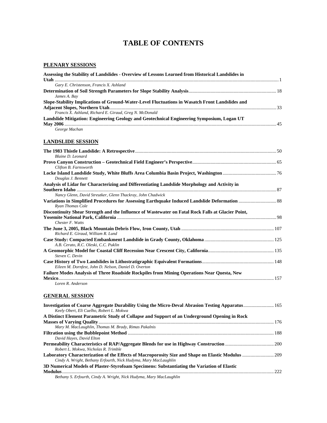## **TABLE OF CONTENTS**

### **PLENARY SESSIONS**

| Assessing the Stability of Landslides - Overview of Lessons Learned from Historical Landslides in |  |
|---------------------------------------------------------------------------------------------------|--|
|                                                                                                   |  |
| Gary E. Christenson, Francis X. Ashland                                                           |  |
|                                                                                                   |  |
| James A. Bay                                                                                      |  |
| Slope-Stability Implications of Ground-Water-Level Fluctuations in Wasatch Front Landslides and   |  |
|                                                                                                   |  |
| Francis X. Ashland, Richard E. Giraud, Greg N. McDonald                                           |  |
| Landslide Mitigation: Engineering Geology and Geotechnical Engineering Symposium, Logan UT        |  |
|                                                                                                   |  |
| George Machan                                                                                     |  |

### **LANDSLIDE SESSION**

| Blaine D. Leonard                                                                                  |  |
|----------------------------------------------------------------------------------------------------|--|
| Clifton B. Farnsworth                                                                              |  |
| Douglas J. Bennett                                                                                 |  |
| Analysis of Lidar for Characterizing and Differentiating Landslide Morphology and Activity in      |  |
|                                                                                                    |  |
| Nancy Glenn, David Streutker, Glenn Thackray, John Chadwick                                        |  |
| Ryan Thomas Cole                                                                                   |  |
| Discontinuity Shear Strength and the Influence of Wastewater on Fatal Rock Falls at Glacier Point, |  |
|                                                                                                    |  |
| Chester F. Watts                                                                                   |  |
|                                                                                                    |  |
| Richard E. Giraud, William R. Lund                                                                 |  |
| A.B. Cerato, R.C. Oleski, C.C. Puklin                                                              |  |
|                                                                                                    |  |
| Steven C. Devin                                                                                    |  |
|                                                                                                    |  |
| Eileen M. Dornfest, John D. Nelson, Daniel D. Overton                                              |  |
| Failure Modes Analysis of Three Roadside Rockpiles from Mining Operations Near Questa, New         |  |
|                                                                                                    |  |
| Loren R. Anderson                                                                                  |  |

### **GENERAL SESSION**

| Investigation of Coarse Aggregate Durability Using the Micro-Deval Abrasion Testing Apparatus 165<br>Keely Obert, Eli Cuelho, Robert L. Mokwa |     |
|-----------------------------------------------------------------------------------------------------------------------------------------------|-----|
| A Distinct Element Parametric Study of Collapse and Support of an Underground Opening in Rock                                                 |     |
|                                                                                                                                               |     |
| Mary M. MacLaughlin, Thomas M. Brady, Rimas Pakalnis                                                                                          |     |
|                                                                                                                                               |     |
| David Hayes, David Elton                                                                                                                      |     |
| Robert L. Mokwa, Nicholas R. Trimble                                                                                                          |     |
| Cindy A. Wright, Bethany Erfourth, Nick Hudyma, Mary MacLaughlin                                                                              |     |
| 3D Numerical Models of Plaster-Styrofoam Specimens: Substantiating the Variation of Elastic<br>Modulus.                                       | າາາ |
| Bethany S. Erfourth, Cindy A. Wright, Nick Hudyma, Mary MacLaughlin                                                                           |     |